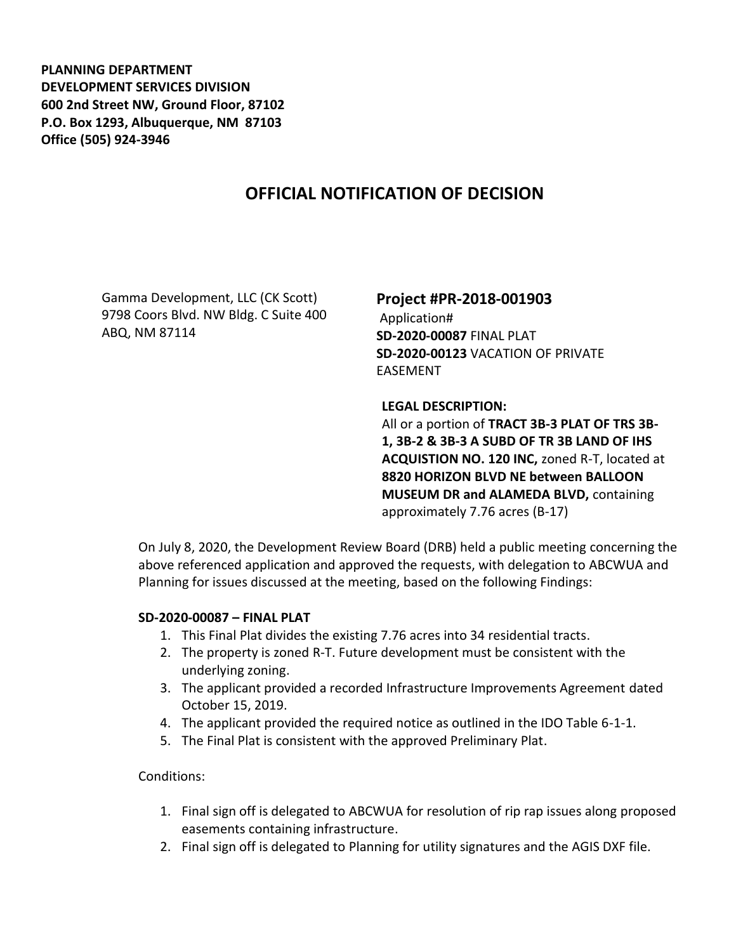**PLANNING DEPARTMENT DEVELOPMENT SERVICES DIVISION 600 2nd Street NW, Ground Floor, 87102 P.O. Box 1293, Albuquerque, NM 87103 Office (505) 924-3946** 

## **OFFICIAL NOTIFICATION OF DECISION**

Gamma Development, LLC (CK Scott) 9798 Coors Blvd. NW Bldg. C Suite 400 ABQ, NM 87114

**Project #PR-2018-001903** Application# **SD-2020-00087** FINAL PLAT **SD-2020-00123** VACATION OF PRIVATE EASEMENT

**LEGAL DESCRIPTION:**

All or a portion of **TRACT 3B-3 PLAT OF TRS 3B-1, 3B-2 & 3B-3 A SUBD OF TR 3B LAND OF IHS ACQUISTION NO. 120 INC,** zoned R-T, located at **8820 HORIZON BLVD NE between BALLOON MUSEUM DR and ALAMEDA BLVD,** containing approximately 7.76 acres (B-17)

On July 8, 2020, the Development Review Board (DRB) held a public meeting concerning the above referenced application and approved the requests, with delegation to ABCWUA and Planning for issues discussed at the meeting, based on the following Findings:

## **SD-2020-00087 – FINAL PLAT**

- 1. This Final Plat divides the existing 7.76 acres into 34 residential tracts.
- 2. The property is zoned R-T. Future development must be consistent with the underlying zoning.
- 3. The applicant provided a recorded Infrastructure Improvements Agreement dated October 15, 2019.
- 4. The applicant provided the required notice as outlined in the IDO Table 6-1-1.
- 5. The Final Plat is consistent with the approved Preliminary Plat.

## Conditions:

- 1. Final sign off is delegated to ABCWUA for resolution of rip rap issues along proposed easements containing infrastructure.
- 2. Final sign off is delegated to Planning for utility signatures and the AGIS DXF file.